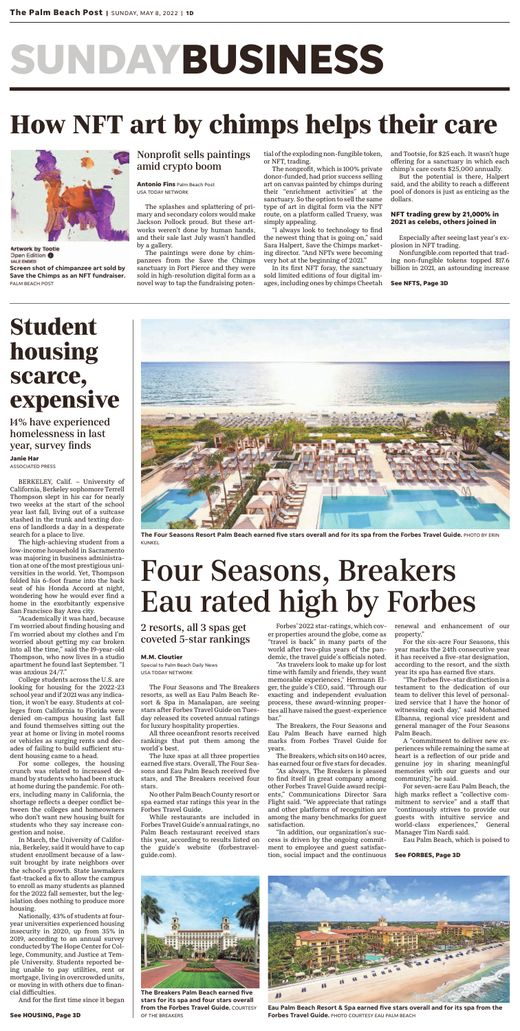# **SUNDAYBUSINESS**

The splashes and splattering of primary and secondary colors would make Jackson Pollock proud. But these artworks weren't done by human hands, and their sale last July wasn't handled by a gallery.

The paintings were done by chimpanzees from the Save the Chimps sanctuary in Fort Pierce and they were sold in high-resolution digital form as a novel way to tap the fundraising potential of the exploding non-fungible token, or NFT, trading.

The nonprofit, which is 100% private donor-funded, had prior success selling art on canvas painted by chimps during their "enrichment activities" at the sanctuary. So the option to sell the same type of art in digital form via the NFT route, on a platform called Truesy, was simply appealing.

"I always look to technology to find the newest thing that is going on," said Sara Halpert, Save the Chimps marketing director. "And NFTs were becoming very hot at the beginning of 2021."

In its first NFT foray, the sanctuary sold limited editions of four digital images, including ones by chimps Cheetah

and Tootsie, for \$25 each. It wasn't huge offering for a sanctuary in which each chimp's care costs \$25,000 annually.

But the potential is there, Halpert said, and the ability to reach a different pool of donors is just as enticing as the dollars.

### **NFT trading grew by 21,000% in 2021 as celebs, others joined in**

Especially after seeing last year's explosion in NFT trading.

Nonfungible.com reported that trading non-fungible tokens topped \$17.6 billion in 2021, an astounding increase

# **How NFT art by chimps helps their care**



**Artwork by Tootie** Open Edition <sup>O</sup> **SALE ENDED** 

**Screen shot of chimpanzee art sold by Save the Chimps as an NFT fundraiser.** PALM BEACH POST

### Nonprofit sells paintings amid crypto boom

**Antonio Fins** Palm Beach Post USA TODAY NETWORK

**See NFTS, Page 3D**

The Four Seasons and The Breakers resorts, as well as Eau Palm Beach Resort & Spa in Manalapan, are seeing stars after Forbes Travel Guide on Tuesday released its coveted annual ratings for luxury hospitality properties.

All three oceanfront resorts received rankings that put them among the world's best.

The luxe spas at all three properties earned five stars. Overall, The Four Seasons and Eau Palm Beach received five stars, and The Breakers received four stars.

No other Palm Beach County resort or spa earned star ratings this year in the Forbes Travel Guide.

While restaurants are included in Forbes Travel Guide's annual ratings, no Palm Beach restaurant received stars this year, according to results listed on the guide's website (forbestravelguide.com).

world after two-plus years of the pandemic, the travel guide's officials noted.

"As travelers look to make up for lost time with family and friends, they want memorable experiences," Hermann Elger, the guide's CEO, said. "Through our exacting and independent evaluation process, these award-winning properties all have raised the guest-experience bar."

The Breakers, the Four Seasons and Eau Palm Beach have earned high marks from Forbes Travel Guide for years.

The Breakers, which sits on 140 acres, has earned four or five stars for decades.

"As always, The Breakers is pleased to find itself in great company among other Forbes Travel Guide award recipients," Communications Director Sara Flight said. "We appreciate that ratings and other platforms of recognition are among the many benchmarks for guest satisfaction.

"In addition, our organization's success is driven by the ongoing commitment to employee and guest satisfaction, social impact and the continuous renewal and enhancement of our

### Forbes' 2022 star-ratings, which cover properties around the globe, come as "travel is back" in many parts of the property." Four Seasons, Breakers Eau rated high by Forbes 2 resorts, all 3 spas get coveted 5-star rankings

For the six-acre Four Seasons, this year marks the 24th consecutive year it has received a five-star designation, according to the resort, and the sixth year its spa has earned five stars.

"The Forbes five-star distinction is a testament to the dedication of our team to deliver this level of personalized service that I have the honor of witnessing each day," said Mohamed Elbanna, regional vice president and general manager of the Four Seasons Palm Beach.

A "commitment to deliver new experiences while remaining the same at heart is a reflection of our pride and genuine joy in sharing meaningful memories with our guests and our community," he said.

For seven-acre Eau Palm Beach, the high marks reflect a "collective commitment to service" and a staff that "continuously strives to provide our guests with intuitive service and world-class experiences," General Manager Tim Nardi said.

Eau Palm Beach, which is poised to



**The Four Seasons Resort Palm Beach earned five stars overall and for its spa from the Forbes Travel Guide.** PHOTO BY ERIN KUNKEL



**The Breakers Palm Beach earned five stars for its spa and four stars overall from the Forbes Travel Guide. COURTESY** OF THE BREAKERS



**Eau Palm Beach Resort & Spa earned five stars overall and for its spa from the Forbes Travel Guide.** PHOTO COURTESY EAU PALM BEACH

### **M.M. Cloutier**

Special to Palm Beach Daily News USA TODAY NETWORK

**See FORBES, Page 3D**

BERKELEY, Calif. – University of California, Berkeley sophomore Terrell Thompson slept in his car for nearly two weeks at the start of the school year last fall, living out of a suitcase stashed in the trunk and texting dozens of landlords a day in a desperate search for a place to live.

The high-achieving student from a low-income household in Sacramento was majoring in business administration at one of the most prestigious universities in the world. Yet, Thompson folded his 6-foot frame into the back seat of his Honda Accord at night, wondering how he would ever find a home in the exorbitantly expensive San Francisco Bay Area city.

"Academically it was hard, because I'm worried about finding housing and I'm worried about my clothes and I'm worried about getting my car broken into all the time," said the 19-year-old Thompson, who now lives in a studio apartment he found last September. "I was anxious 24/7." College students across the U.S. are looking for housing for the 2022-23 school year and if 2021 was any indication, it won't be easy. Students at colleges from California to Florida were denied on-campus housing last fall and found themselves sitting out the year at home or living in motel rooms or vehicles as surging rents and decades of failing to build sufficient student housing came to a head. For some colleges, the housing crunch was related to increased demand by students who had been stuck at home during the pandemic. For others, including many in California, the shortage reflects a deeper conflict between the colleges and homeowners who don't want new housing built for students who they say increase congestion and noise. In March, the University of California, Berkeley, said it would have to cap student enrollment because of a lawsuit brought by irate neighbors over the school's growth. State lawmakers fast-tracked a fix to allow the campus to enroll as many students as planned for the 2022 fall semester, but the legislation does nothing to produce more housing. Nationally, 43% of students at fouryear universities experienced housing insecurity in 2020, up from 35% in 2019, according to an annual survey conducted by The Hope Center for College, Community, and Justice at Temple University. Students reported being unable to pay utilities, rent or mortgage, living in overcrowded units, or moving in with others due to financial difficulties.

And for the first time since it began

## **Student housing scarce, expensive**

14% have experienced homelessness in last year, survey finds

**Janie Har**  ASSOCIATED PRESS